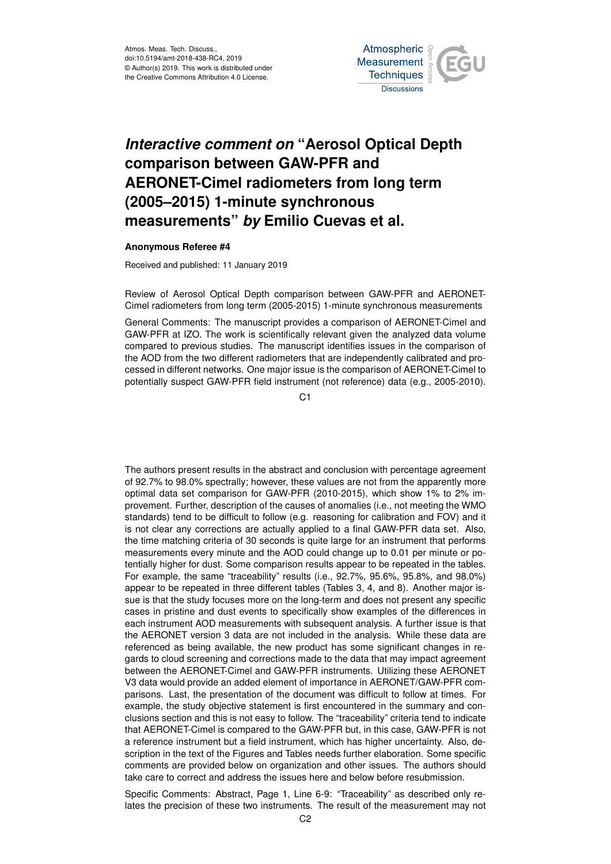Atmos. Meas. Tech. Discuss., doi:10.5194/amt-2018-438-RC4, 2019 © Author(s) 2019. This work is distributed under the Creative Commons Attribution 4.0 License.



## *Interactive comment on* **"Aerosol Optical Depth comparison between GAW-PFR and AERONET-Cimel radiometers from long term (2005–2015) 1-minute synchronous measurements"** *by* **Emilio Cuevas et al.**

## **Anonymous Referee #4**

Received and published: 11 January 2019

Review of Aerosol Optical Depth comparison between GAW-PFR and AERONET-Cimel radiometers from long term (2005-2015) 1-minute synchronous measurements

General Comments: The manuscript provides a comparison of AERONET-Cimel and GAW-PFR at IZO. The work is scientifically relevant given the analyzed data volume compared to previous studies. The manuscript identifies issues in the comparison of the AOD from the two different radiometers that are independently calibrated and processed in different networks. One major issue is the comparison of AERONET-Cimel to potentially suspect GAW-PFR field instrument (not reference) data (e.g., 2005-2010).

C1

The authors present results in the abstract and conclusion with percentage agreement of 92.7% to 98.0% spectrally; however, these values are not from the apparently more optimal data set comparison for GAW-PFR (2010-2015), which show 1% to 2% improvement. Further, description of the causes of anomalies (i.e., not meeting the WMO standards) tend to be difficult to follow (e.g. reasoning for calibration and FOV) and it is not clear any corrections are actually applied to a final GAW-PFR data set. Also, the time matching criteria of 30 seconds is quite large for an instrument that performs measurements every minute and the AOD could change up to 0.01 per minute or potentially higher for dust. Some comparison results appear to be repeated in the tables. For example, the same "traceability" results (i.e., 92.7%, 95.6%, 95.8%, and 98.0%) appear to be repeated in three different tables (Tables 3, 4, and 8). Another major issue is that the study focuses more on the long-term and does not present any specific cases in pristine and dust events to specifically show examples of the differences in each instrument AOD measurements with subsequent analysis. A further issue is that the AERONET version 3 data are not included in the analysis. While these data are referenced as being available, the new product has some significant changes in regards to cloud screening and corrections made to the data that may impact agreement between the AERONET-Cimel and GAW-PFR instruments. Utilizing these AERONET V3 data would provide an added element of importance in AERONET/GAW-PFR comparisons. Last, the presentation of the document was difficult to follow at times. For example, the study objective statement is first encountered in the summary and conclusions section and this is not easy to follow. The "traceability" criteria tend to indicate that AERONET-Cimel is compared to the GAW-PFR but, in this case, GAW-PFR is not a reference instrument but a field instrument, which has higher uncertainty. Also, description in the text of the Figures and Tables needs further elaboration. Some specific comments are provided below on organization and other issues. The authors should take care to correct and address the issues here and below before resubmission.

Specific Comments: Abstract, Page 1, Line 6-9: "Traceability" as described only relates the precision of these two instruments. The result of the measurement may not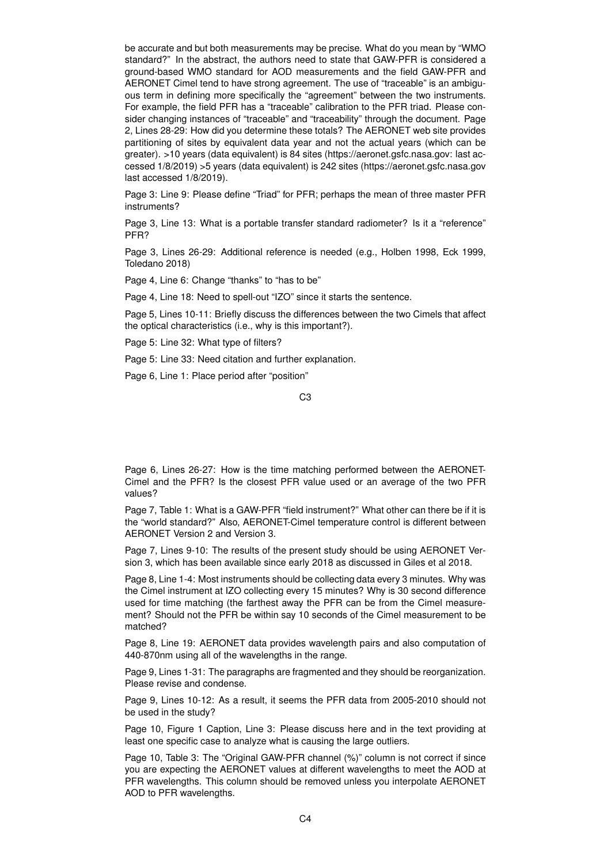be accurate and but both measurements may be precise. What do you mean by "WMO standard?" In the abstract, the authors need to state that GAW-PFR is considered a ground-based WMO standard for AOD measurements and the field GAW-PFR and AERONET Cimel tend to have strong agreement. The use of "traceable" is an ambiguous term in defining more specifically the "agreement" between the two instruments. For example, the field PFR has a "traceable" calibration to the PFR triad. Please consider changing instances of "traceable" and "traceability" through the document. Page 2, Lines 28-29: How did you determine these totals? The AERONET web site provides partitioning of sites by equivalent data year and not the actual years (which can be greater). >10 years (data equivalent) is 84 sites (https://aeronet.gsfc.nasa.gov: last accessed 1/8/2019) >5 years (data equivalent) is 242 sites (https://aeronet.gsfc.nasa.gov last accessed 1/8/2019).

Page 3: Line 9: Please define "Triad" for PFR; perhaps the mean of three master PFR instruments?

Page 3, Line 13: What is a portable transfer standard radiometer? Is it a "reference" PFR?

Page 3, Lines 26-29: Additional reference is needed (e.g., Holben 1998, Eck 1999, Toledano 2018)

Page 4, Line 6: Change "thanks" to "has to be"

Page 4, Line 18: Need to spell-out "IZO" since it starts the sentence.

Page 5, Lines 10-11: Briefly discuss the differences between the two Cimels that affect the optical characteristics (i.e., why is this important?).

Page 5: Line 32: What type of filters?

Page 5: Line 33: Need citation and further explanation.

Page 6, Line 1: Place period after "position"

C3

Page 6, Lines 26-27: How is the time matching performed between the AERONET-Cimel and the PFR? Is the closest PFR value used or an average of the two PFR values?

Page 7, Table 1: What is a GAW-PFR "field instrument?" What other can there be if it is the "world standard?" Also, AERONET-Cimel temperature control is different between AERONET Version 2 and Version 3.

Page 7, Lines 9-10: The results of the present study should be using AERONET Version 3, which has been available since early 2018 as discussed in Giles et al 2018.

Page 8, Line 1-4: Most instruments should be collecting data every 3 minutes. Why was the Cimel instrument at IZO collecting every 15 minutes? Why is 30 second difference used for time matching (the farthest away the PFR can be from the Cimel measurement? Should not the PFR be within say 10 seconds of the Cimel measurement to be matched?

Page 8, Line 19: AERONET data provides wavelength pairs and also computation of 440-870nm using all of the wavelengths in the range.

Page 9, Lines 1-31: The paragraphs are fragmented and they should be reorganization. Please revise and condense.

Page 9, Lines 10-12: As a result, it seems the PFR data from 2005-2010 should not be used in the study?

Page 10, Figure 1 Caption, Line 3: Please discuss here and in the text providing at least one specific case to analyze what is causing the large outliers.

Page 10, Table 3: The "Original GAW-PFR channel (%)" column is not correct if since you are expecting the AERONET values at different wavelengths to meet the AOD at PFR wavelengths. This column should be removed unless you interpolate AERONET AOD to PFR wavelengths.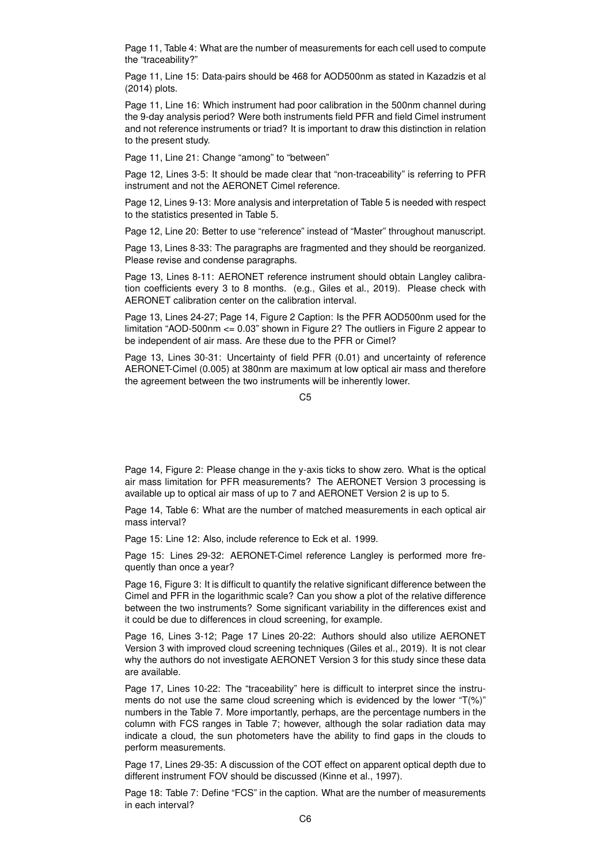Page 11, Table 4: What are the number of measurements for each cell used to compute the "traceability?"

Page 11, Line 15: Data-pairs should be 468 for AOD500nm as stated in Kazadzis et al (2014) plots.

Page 11, Line 16: Which instrument had poor calibration in the 500nm channel during the 9-day analysis period? Were both instruments field PFR and field Cimel instrument and not reference instruments or triad? It is important to draw this distinction in relation to the present study.

Page 11, Line 21: Change "among" to "between"

Page 12, Lines 3-5: It should be made clear that "non-traceability" is referring to PFR instrument and not the AERONET Cimel reference.

Page 12, Lines 9-13: More analysis and interpretation of Table 5 is needed with respect to the statistics presented in Table 5.

Page 12, Line 20: Better to use "reference" instead of "Master" throughout manuscript.

Page 13, Lines 8-33: The paragraphs are fragmented and they should be reorganized. Please revise and condense paragraphs.

Page 13, Lines 8-11: AERONET reference instrument should obtain Langley calibration coefficients every 3 to 8 months. (e.g., Giles et al., 2019). Please check with AERONET calibration center on the calibration interval.

Page 13, Lines 24-27; Page 14, Figure 2 Caption: Is the PFR AOD500nm used for the limitation "AOD-500nm <= 0.03" shown in Figure 2? The outliers in Figure 2 appear to be independent of air mass. Are these due to the PFR or Cimel?

Page 13, Lines 30-31: Uncertainty of field PFR (0.01) and uncertainty of reference AERONET-Cimel (0.005) at 380nm are maximum at low optical air mass and therefore the agreement between the two instruments will be inherently lower.

Page 14, Figure 2: Please change in the y-axis ticks to show zero. What is the optical air mass limitation for PFR measurements? The AERONET Version 3 processing is available up to optical air mass of up to 7 and AERONET Version 2 is up to 5.

Page 14, Table 6: What are the number of matched measurements in each optical air mass interval?

Page 15: Line 12: Also, include reference to Eck et al. 1999.

Page 15: Lines 29-32: AERONET-Cimel reference Langley is performed more frequently than once a year?

Page 16, Figure 3: It is difficult to quantify the relative significant difference between the Cimel and PFR in the logarithmic scale? Can you show a plot of the relative difference between the two instruments? Some significant variability in the differences exist and it could be due to differences in cloud screening, for example.

Page 16, Lines 3-12; Page 17 Lines 20-22: Authors should also utilize AERONET Version 3 with improved cloud screening techniques (Giles et al., 2019). It is not clear why the authors do not investigate AERONET Version 3 for this study since these data are available.

Page 17, Lines 10-22: The "traceability" here is difficult to interpret since the instruments do not use the same cloud screening which is evidenced by the lower "T(%)" numbers in the Table 7. More importantly, perhaps, are the percentage numbers in the column with FCS ranges in Table 7; however, although the solar radiation data may indicate a cloud, the sun photometers have the ability to find gaps in the clouds to perform measurements.

Page 17, Lines 29-35: A discussion of the COT effect on apparent optical depth due to different instrument FOV should be discussed (Kinne et al., 1997).

Page 18: Table 7: Define "FCS" in the caption. What are the number of measurements in each interval?

 $C<sub>5</sub>$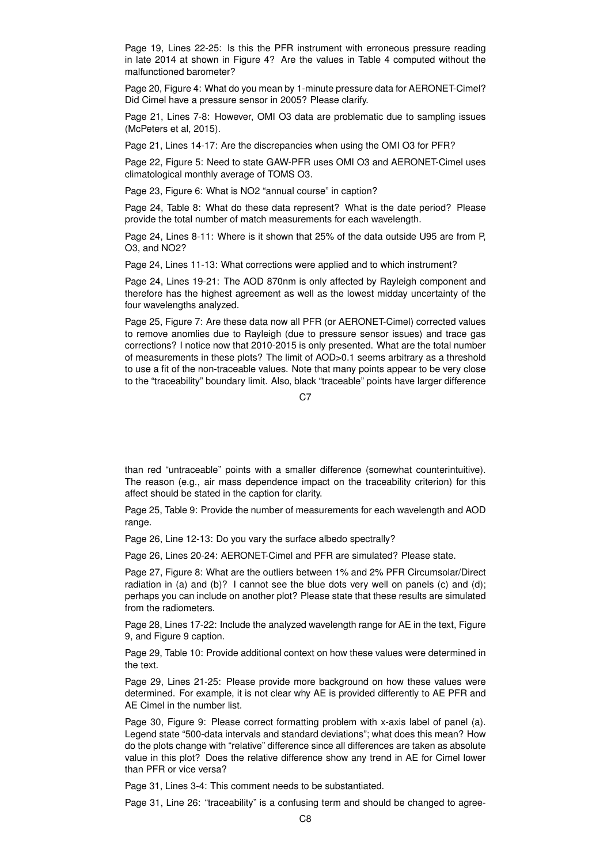Page 19, Lines 22-25: Is this the PFR instrument with erroneous pressure reading in late 2014 at shown in Figure 4? Are the values in Table 4 computed without the malfunctioned barometer?

Page 20, Figure 4: What do you mean by 1-minute pressure data for AERONET-Cimel? Did Cimel have a pressure sensor in 2005? Please clarify.

Page 21, Lines 7-8: However, OMI O3 data are problematic due to sampling issues (McPeters et al, 2015).

Page 21, Lines 14-17: Are the discrepancies when using the OMI O3 for PFR?

Page 22, Figure 5: Need to state GAW-PFR uses OMI O3 and AERONET-Cimel uses climatological monthly average of TOMS O3.

Page 23, Figure 6: What is NO2 "annual course" in caption?

Page 24, Table 8: What do these data represent? What is the date period? Please provide the total number of match measurements for each wavelength.

Page 24, Lines 8-11: Where is it shown that 25% of the data outside U95 are from P, O3, and NO2?

Page 24, Lines 11-13: What corrections were applied and to which instrument?

Page 24, Lines 19-21: The AOD 870nm is only affected by Rayleigh component and therefore has the highest agreement as well as the lowest midday uncertainty of the four wavelengths analyzed.

Page 25, Figure 7: Are these data now all PFR (or AERONET-Cimel) corrected values to remove anomlies due to Rayleigh (due to pressure sensor issues) and trace gas corrections? I notice now that 2010-2015 is only presented. What are the total number of measurements in these plots? The limit of AOD>0.1 seems arbitrary as a threshold to use a fit of the non-traceable values. Note that many points appear to be very close to the "traceability" boundary limit. Also, black "traceable" points have larger difference

C<sub>7</sub>

than red "untraceable" points with a smaller difference (somewhat counterintuitive). The reason (e.g., air mass dependence impact on the traceability criterion) for this affect should be stated in the caption for clarity.

Page 25, Table 9: Provide the number of measurements for each wavelength and AOD range.

Page 26, Line 12-13: Do you vary the surface albedo spectrally?

Page 26, Lines 20-24: AERONET-Cimel and PFR are simulated? Please state.

Page 27, Figure 8: What are the outliers between 1% and 2% PFR Circumsolar/Direct radiation in (a) and (b)? I cannot see the blue dots very well on panels (c) and (d); perhaps you can include on another plot? Please state that these results are simulated from the radiometers.

Page 28, Lines 17-22: Include the analyzed wavelength range for AE in the text, Figure 9, and Figure 9 caption.

Page 29, Table 10: Provide additional context on how these values were determined in the text.

Page 29, Lines 21-25: Please provide more background on how these values were determined. For example, it is not clear why AE is provided differently to AE PFR and AE Cimel in the number list.

Page 30, Figure 9: Please correct formatting problem with x-axis label of panel (a). Legend state "500-data intervals and standard deviations"; what does this mean? How do the plots change with "relative" difference since all differences are taken as absolute value in this plot? Does the relative difference show any trend in AE for Cimel lower than PFR or vice versa?

Page 31, Lines 3-4: This comment needs to be substantiated.

Page 31, Line 26: "traceability" is a confusing term and should be changed to agree-